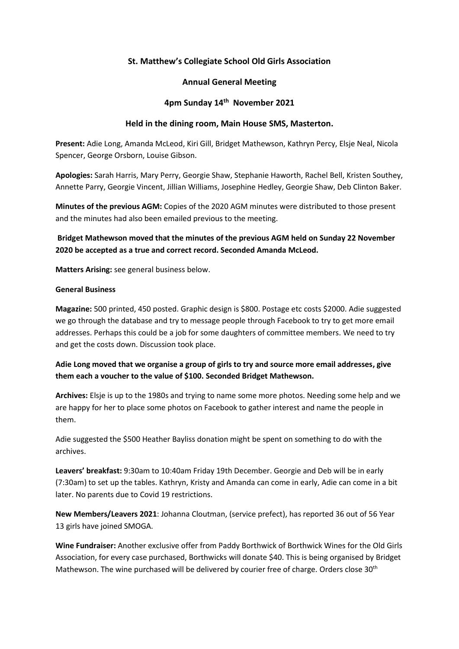## **St. Matthew's Collegiate School Old Girls Association**

#### **Annual General Meeting**

#### **4pm Sunday 14th November 2021**

#### **Held in the dining room, Main House SMS, Masterton.**

**Present:** Adie Long, Amanda McLeod, Kiri Gill, Bridget Mathewson, Kathryn Percy, Elsje Neal, Nicola Spencer, George Orsborn, Louise Gibson.

**Apologies:** Sarah Harris, Mary Perry, Georgie Shaw, Stephanie Haworth, Rachel Bell, Kristen Southey, Annette Parry, Georgie Vincent, Jillian Williams, Josephine Hedley, Georgie Shaw, Deb Clinton Baker.

**Minutes of the previous AGM:** Copies of the 2020 AGM minutes were distributed to those present and the minutes had also been emailed previous to the meeting.

**Bridget Mathewson moved that the minutes of the previous AGM held on Sunday 22 November 2020 be accepted as a true and correct record. Seconded Amanda McLeod.**

**Matters Arising:** see general business below.

#### **General Business**

**Magazine:** 500 printed, 450 posted. Graphic design is \$800. Postage etc costs \$2000. Adie suggested we go through the database and try to message people through Facebook to try to get more email addresses. Perhaps this could be a job for some daughters of committee members. We need to try and get the costs down. Discussion took place.

## **Adie Long moved that we organise a group of girls to try and source more email addresses, give them each a voucher to the value of \$100. Seconded Bridget Mathewson.**

**Archives:** Elsje is up to the 1980s and trying to name some more photos. Needing some help and we are happy for her to place some photos on Facebook to gather interest and name the people in them.

Adie suggested the \$500 Heather Bayliss donation might be spent on something to do with the archives.

**Leavers' breakfast:** 9:30am to 10:40am Friday 19th December. Georgie and Deb will be in early (7:30am) to set up the tables. Kathryn, Kristy and Amanda can come in early, Adie can come in a bit later. No parents due to Covid 19 restrictions.

**New Members/Leavers 2021**: Johanna Cloutman, (service prefect), has reported 36 out of 56 Year 13 girls have joined SMOGA.

**Wine Fundraiser:** Another exclusive offer from Paddy Borthwick of Borthwick Wines for the Old Girls Association, for every case purchased, Borthwicks will donate \$40. This is being organised by Bridget Mathewson. The wine purchased will be delivered by courier free of charge. Orders close 30<sup>th</sup>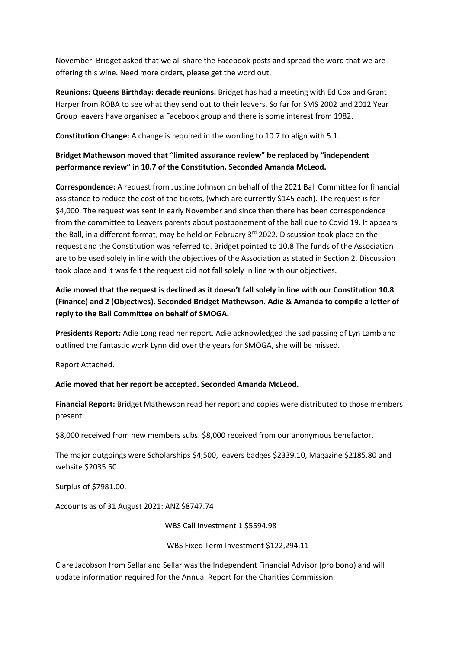November. Bridget asked that we all share the Facebook posts and spread the word that we are offering this wine. Need more orders, please get the word out.

**Reunions: Queens Birthday: decade reunions.** Bridget has had a meeting with Ed Cox and Grant Harper from ROBA to see what they send out to their leavers. So far for SMS 2002 and 2012 Year Group leavers have organised a Facebook group and there is some interest from 1982.

**Constitution Change:** A change is required in the wording to 10.7 to align with 5.1.

# **Bridget Mathewson moved that "limited assurance review" be replaced by "independent performance review" in 10.7 of the Constitution, Seconded Amanda McLeod.**

**Correspondence:** A request from Justine Johnson on behalf of the 2021 Ball Committee for financial assistance to reduce the cost of the tickets, (which are currently \$145 each). The request is for \$4,000. The request was sent in early November and since then there has been correspondence from the committee to Leavers parents about postponement of the ball due to Covid 19. It appears the Ball, in a different format, may be held on February 3<sup>rd</sup> 2022. Discussion took place on the request and the Constitution was referred to. Bridget pointed to 10.8 The funds of the Association are to be used solely in line with the objectives of the Association as stated in Section 2. Discussion took place and it was felt the request did not fall solely in line with our objectives.

# **Adie moved that the request is declined as it doesn't fall solely in line with our Constitution 10.8 (Finance) and 2 (Objectives). Seconded Bridget Mathewson. Adie & Amanda to compile a letter of reply to the Ball Committee on behalf of SMOGA.**

**Presidents Report:** Adie Long read her report. Adie acknowledged the sad passing of Lyn Lamb and outlined the fantastic work Lynn did over the years for SMOGA, she will be missed.

Report Attached.

## **Adie moved that her report be accepted. Seconded Amanda McLeod.**

**Financial Report:** Bridget Mathewson read her report and copies were distributed to those members present.

\$8,000 received from new members subs. \$8,000 received from our anonymous benefactor.

The major outgoings were Scholarships \$4,500, leavers badges \$2339.10, Magazine \$2185.80 and website \$2035.50.

Surplus of \$7981.00.

Accounts as of 31 August 2021: ANZ \$8747.74

WBS Call Investment 1 \$5594.98

WBS Fixed Term Investment \$122,294.11

Clare Jacobson from Sellar and Sellar was the Independent Financial Advisor (pro bono) and will update information required for the Annual Report for the Charities Commission.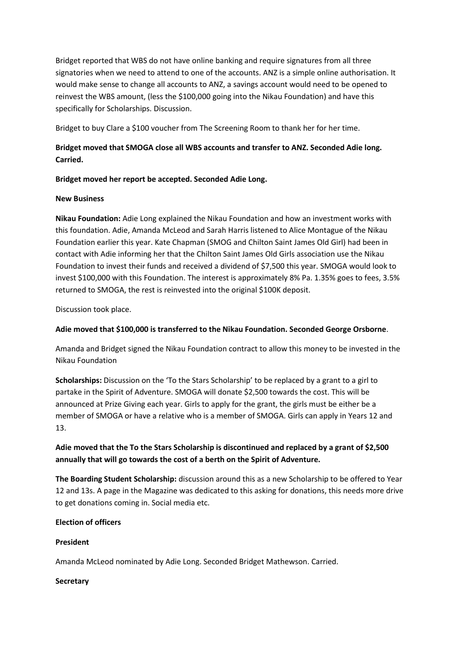Bridget reported that WBS do not have online banking and require signatures from all three signatories when we need to attend to one of the accounts. ANZ is a simple online authorisation. It would make sense to change all accounts to ANZ, a savings account would need to be opened to reinvest the WBS amount, (less the \$100,000 going into the Nikau Foundation) and have this specifically for Scholarships. Discussion.

Bridget to buy Clare a \$100 voucher from The Screening Room to thank her for her time.

# **Bridget moved that SMOGA close all WBS accounts and transfer to ANZ. Seconded Adie long. Carried.**

## **Bridget moved her report be accepted. Seconded Adie Long.**

#### **New Business**

**Nikau Foundation:** Adie Long explained the Nikau Foundation and how an investment works with this foundation. Adie, Amanda McLeod and Sarah Harris listened to Alice Montague of the Nikau Foundation earlier this year. Kate Chapman (SMOG and Chilton Saint James Old Girl) had been in contact with Adie informing her that the Chilton Saint James Old Girls association use the Nikau Foundation to invest their funds and received a dividend of \$7,500 this year. SMOGA would look to invest \$100,000 with this Foundation. The interest is approximately 8% Pa. 1.35% goes to fees, 3.5% returned to SMOGA, the rest is reinvested into the original \$100K deposit.

Discussion took place.

## **Adie moved that \$100,000 is transferred to the Nikau Foundation. Seconded George Orsborne**.

Amanda and Bridget signed the Nikau Foundation contract to allow this money to be invested in the Nikau Foundation

**Scholarships:** Discussion on the 'To the Stars Scholarship' to be replaced by a grant to a girl to partake in the Spirit of Adventure. SMOGA will donate \$2,500 towards the cost. This will be announced at Prize Giving each year. Girls to apply for the grant, the girls must be either be a member of SMOGA or have a relative who is a member of SMOGA. Girls can apply in Years 12 and 13.

# **Adie moved that the To the Stars Scholarship is discontinued and replaced by a grant of \$2,500 annually that will go towards the cost of a berth on the Spirit of Adventure.**

**The Boarding Student Scholarship:** discussion around this as a new Scholarship to be offered to Year 12 and 13s. A page in the Magazine was dedicated to this asking for donations, this needs more drive to get donations coming in. Social media etc.

## **Election of officers**

## **President**

Amanda McLeod nominated by Adie Long. Seconded Bridget Mathewson. Carried.

## **Secretary**